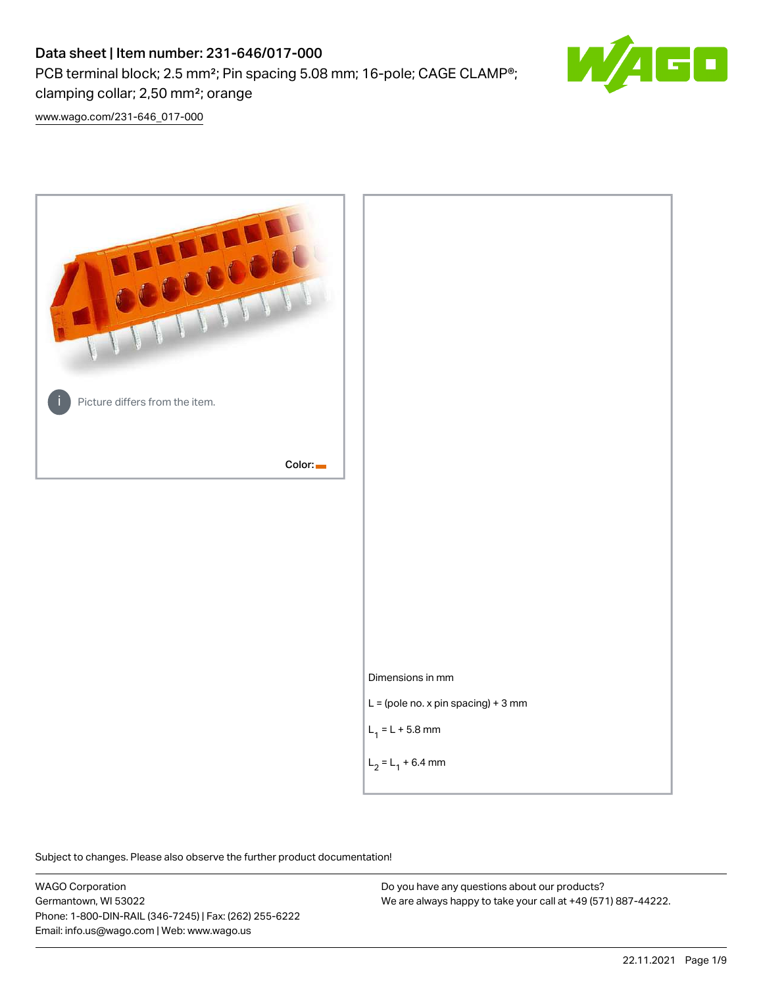# Data sheet | Item number: 231-646/017-000

PCB terminal block; 2.5 mm²; Pin spacing 5.08 mm; 16-pole; CAGE CLAMP®;

clamping collar; 2,50 mm²; orange

[www.wago.com/231-646\\_017-000](http://www.wago.com/231-646_017-000)



Subject to changes. Please also observe the further product documentation!

WAGO Corporation Germantown, WI 53022 Phone: 1-800-DIN-RAIL (346-7245) | Fax: (262) 255-6222 Email: info.us@wago.com | Web: www.wago.us

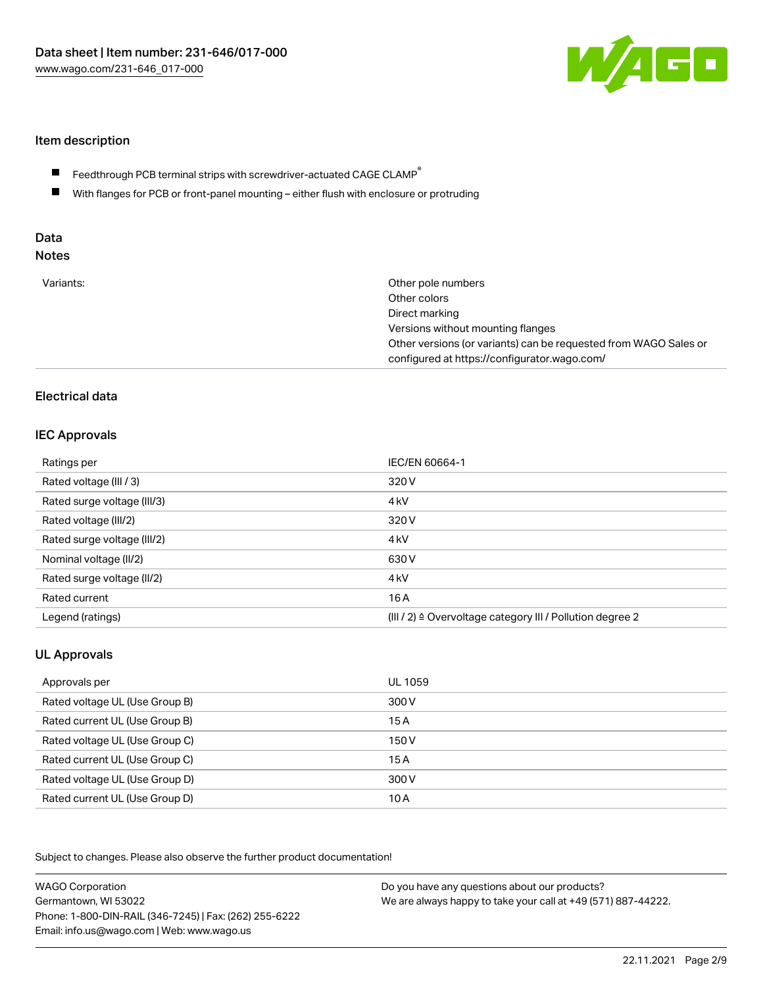

### Item description

- Feedthrough PCB terminal strips with screwdriver-actuated CAGE CLAMP $^\circ$  $\blacksquare$
- $\blacksquare$ With flanges for PCB or front-panel mounting – either flush with enclosure or protruding

# Data

| Variants: | Other pole numbers<br>Other colors<br>Direct marking<br>Versions without mounting flanges<br>Other versions (or variants) can be requested from WAGO Sales or<br>configured at https://configurator.wago.com/ |
|-----------|---------------------------------------------------------------------------------------------------------------------------------------------------------------------------------------------------------------|
|           |                                                                                                                                                                                                               |

# Electrical data

### IEC Approvals

| Ratings per                 | IEC/EN 60664-1                                                        |
|-----------------------------|-----------------------------------------------------------------------|
| Rated voltage (III / 3)     | 320 V                                                                 |
| Rated surge voltage (III/3) | 4 <sub>kV</sub>                                                       |
| Rated voltage (III/2)       | 320 V                                                                 |
| Rated surge voltage (III/2) | 4 <sub>kV</sub>                                                       |
| Nominal voltage (II/2)      | 630 V                                                                 |
| Rated surge voltage (II/2)  | 4 <sub>k</sub> V                                                      |
| Rated current               | 16A                                                                   |
| Legend (ratings)            | $(III / 2)$ $\triangle$ Overvoltage category III / Pollution degree 2 |

## UL Approvals

| Approvals per                  | UL 1059 |
|--------------------------------|---------|
| Rated voltage UL (Use Group B) | 300 V   |
| Rated current UL (Use Group B) | 15 A    |
| Rated voltage UL (Use Group C) | 150 V   |
| Rated current UL (Use Group C) | 15A     |
| Rated voltage UL (Use Group D) | 300 V   |
| Rated current UL (Use Group D) | 10 A    |

Subject to changes. Please also observe the further product documentation!

| <b>WAGO Corporation</b>                                | Do you have any questions about our products?                 |
|--------------------------------------------------------|---------------------------------------------------------------|
| Germantown, WI 53022                                   | We are always happy to take your call at +49 (571) 887-44222. |
| Phone: 1-800-DIN-RAIL (346-7245)   Fax: (262) 255-6222 |                                                               |
| Email: info.us@wago.com   Web: www.wago.us             |                                                               |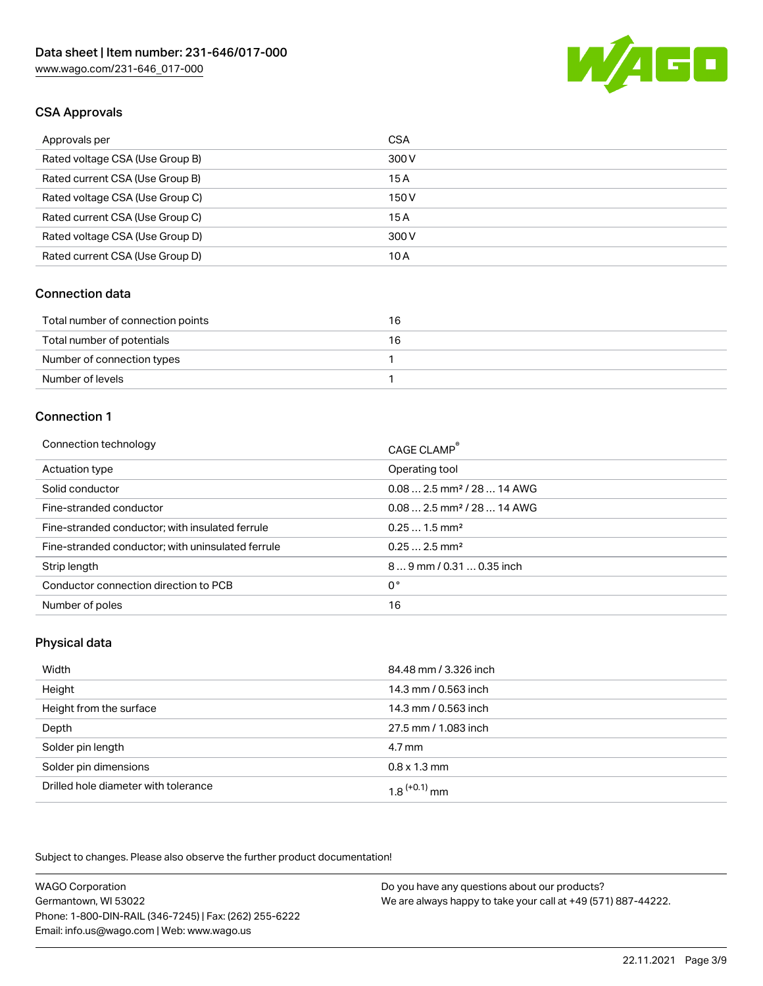

# CSA Approvals

| Approvals per                   | <b>CSA</b> |
|---------------------------------|------------|
| Rated voltage CSA (Use Group B) | 300 V      |
| Rated current CSA (Use Group B) | 15A        |
| Rated voltage CSA (Use Group C) | 150 V      |
| Rated current CSA (Use Group C) | 15A        |
| Rated voltage CSA (Use Group D) | 300 V      |
| Rated current CSA (Use Group D) | 10 A       |

#### Connection data

| Total number of connection points | 16 |
|-----------------------------------|----|
| Total number of potentials        | 16 |
| Number of connection types        |    |
| Number of levels                  |    |

#### Connection 1

| Connection technology                             | CAGE CLAMP®                             |
|---------------------------------------------------|-----------------------------------------|
| Actuation type                                    | Operating tool                          |
| Solid conductor                                   | $0.08$ 2.5 mm <sup>2</sup> / 28  14 AWG |
| Fine-stranded conductor                           | $0.08$ 2.5 mm <sup>2</sup> / 28  14 AWG |
| Fine-stranded conductor; with insulated ferrule   | $0.251.5$ mm <sup>2</sup>               |
| Fine-stranded conductor; with uninsulated ferrule | $0.252.5$ mm <sup>2</sup>               |
| Strip length                                      | $89$ mm / 0.31  0.35 inch               |
| Conductor connection direction to PCB             | 0°                                      |
| Number of poles                                   | 16                                      |

### Physical data

| Width                                | 84.48 mm / 3.326 inch       |
|--------------------------------------|-----------------------------|
| Height                               | 14.3 mm / 0.563 inch        |
| Height from the surface              | 14.3 mm / 0.563 inch        |
| Depth                                | 27.5 mm / 1.083 inch        |
| Solder pin length                    | $4.7 \,\mathrm{mm}$         |
| Solder pin dimensions                | $0.8 \times 1.3 \text{ mm}$ |
| Drilled hole diameter with tolerance | $1.8$ <sup>(+0.1)</sup> mm  |

Subject to changes. Please also observe the further product documentation!

| <b>WAGO Corporation</b>                                | Do you have any questions about our products?                 |
|--------------------------------------------------------|---------------------------------------------------------------|
| Germantown, WI 53022                                   | We are always happy to take your call at +49 (571) 887-44222. |
| Phone: 1-800-DIN-RAIL (346-7245)   Fax: (262) 255-6222 |                                                               |
| Email: info.us@wago.com   Web: www.wago.us             |                                                               |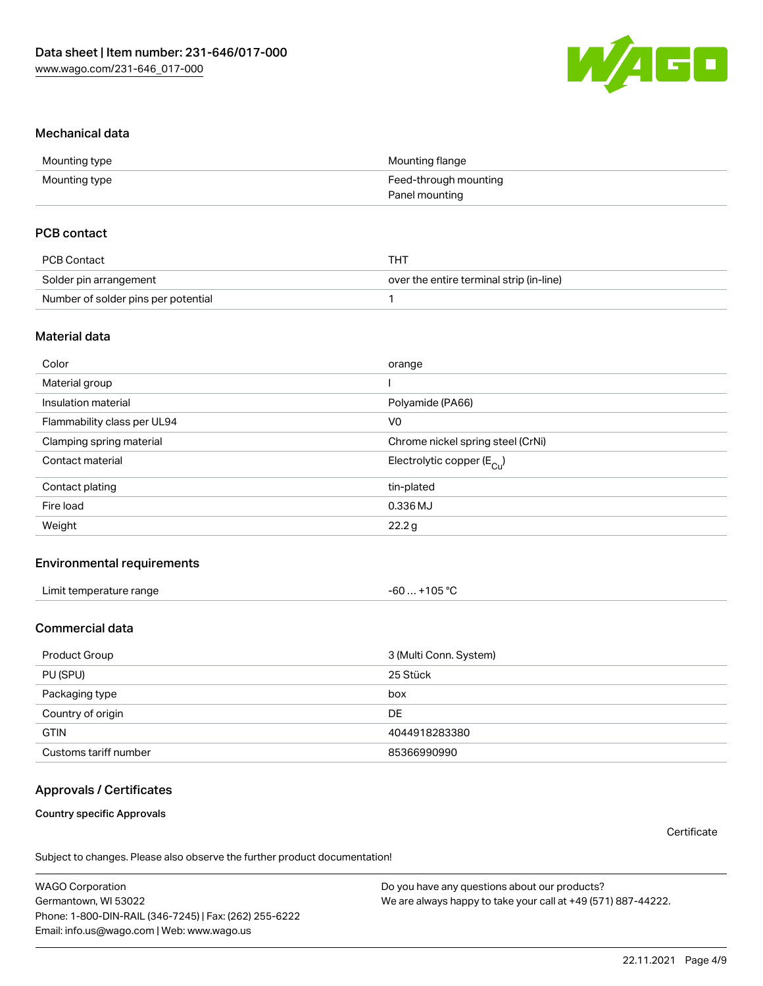

### Mechanical data

| Mounting type | Mounting flange       |
|---------------|-----------------------|
| Mounting type | Feed-through mounting |
|               | Panel mounting        |

### PCB contact

| <b>PCB Contact</b>                  | <b>THT</b>                               |
|-------------------------------------|------------------------------------------|
| Solder pin arrangement              | over the entire terminal strip (in-line) |
| Number of solder pins per potential |                                          |

#### Material data

| Color                       | orange                                |
|-----------------------------|---------------------------------------|
| Material group              |                                       |
| Insulation material         | Polyamide (PA66)                      |
| Flammability class per UL94 | V <sub>0</sub>                        |
| Clamping spring material    | Chrome nickel spring steel (CrNi)     |
| Contact material            | Electrolytic copper $(E_{\text{Cl}})$ |
| Contact plating             | tin-plated                            |
| Fire load                   | 0.336 MJ                              |
| Weight                      | 22.2 g                                |

#### Environmental requirements

| Limit temperature range | +105 $^{\circ}$ C<br>-60 … |  |
|-------------------------|----------------------------|--|
|-------------------------|----------------------------|--|

### Commercial data

| Product Group         | 3 (Multi Conn. System) |
|-----------------------|------------------------|
| PU (SPU)              | 25 Stück               |
| Packaging type        | box                    |
| Country of origin     | DE                     |
| <b>GTIN</b>           | 4044918283380          |
| Customs tariff number | 85366990990            |

# Approvals / Certificates

Country specific Approvals

**Certificate** 

Subject to changes. Please also observe the further product documentation!

WAGO Corporation Germantown, WI 53022 Phone: 1-800-DIN-RAIL (346-7245) | Fax: (262) 255-6222 Email: info.us@wago.com | Web: www.wago.us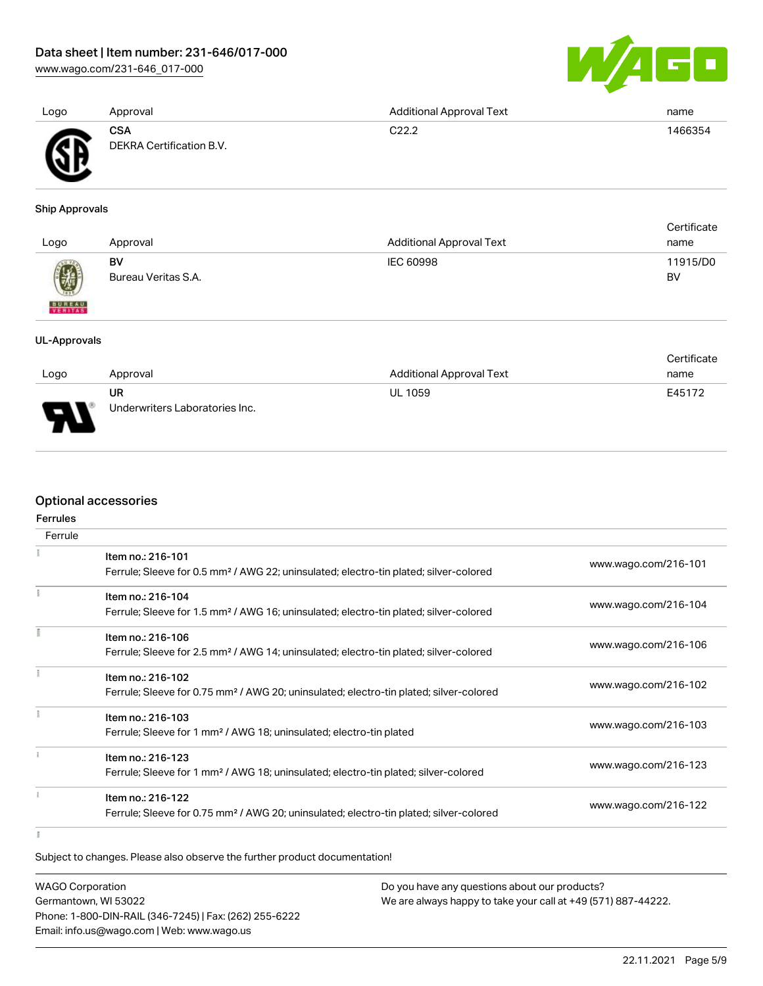[www.wago.com/231-646\\_017-000](http://www.wago.com/231-646_017-000)



| Logo | Approval                               | <b>Additional Approval Text</b> | name    |
|------|----------------------------------------|---------------------------------|---------|
| Ж    | <b>CSA</b><br>DEKRA Certification B.V. | C <sub>22.2</sub>               | 1466354 |

### Ship Approvals

| Logo          | Approval            | <b>Additional Approval Text</b> | Certificate<br>name |
|---------------|---------------------|---------------------------------|---------------------|
| 0             | BV                  | IEC 60998                       | 11915/D0            |
| <b>BUREAU</b> | Bureau Veritas S.A. |                                 | BV                  |

#### UL-Approvals

|                                                           |                                |                                 | Certificate |
|-----------------------------------------------------------|--------------------------------|---------------------------------|-------------|
| Logo                                                      | Approval                       | <b>Additional Approval Text</b> | name        |
|                                                           | <b>UR</b>                      | <b>UL 1059</b>                  | E45172      |
| o<br>$\overline{\phantom{a}}$<br>$\overline{\phantom{a}}$ | Underwriters Laboratories Inc. |                                 |             |

# Optional accessories

## Ferrules

| Ferrule |                                                                                                                        |                      |
|---------|------------------------------------------------------------------------------------------------------------------------|----------------------|
|         | Item no.: 216-101<br>Ferrule; Sleeve for 0.5 mm <sup>2</sup> / AWG 22; uninsulated; electro-tin plated; silver-colored | www.wago.com/216-101 |
|         |                                                                                                                        |                      |
|         | Item no.: 216-104                                                                                                      | www.wago.com/216-104 |
|         | Ferrule; Sleeve for 1.5 mm <sup>2</sup> / AWG 16; uninsulated; electro-tin plated; silver-colored                      |                      |
|         | Item no.: 216-106                                                                                                      |                      |
|         | Ferrule; Sleeve for 2.5 mm <sup>2</sup> / AWG 14; uninsulated; electro-tin plated; silver-colored                      | www.wago.com/216-106 |
|         | Item no.: 216-102                                                                                                      |                      |
|         | Ferrule; Sleeve for 0.75 mm <sup>2</sup> / AWG 20; uninsulated; electro-tin plated; silver-colored                     | www.wago.com/216-102 |
|         | Item no.: 216-103                                                                                                      |                      |
|         | Ferrule; Sleeve for 1 mm <sup>2</sup> / AWG 18; uninsulated; electro-tin plated                                        | www.wago.com/216-103 |
|         | Item no.: 216-123                                                                                                      |                      |
|         | Ferrule; Sleeve for 1 mm <sup>2</sup> / AWG 18; uninsulated; electro-tin plated; silver-colored                        | www.wago.com/216-123 |
|         | Item no.: 216-122                                                                                                      |                      |
|         | Ferrule; Sleeve for 0.75 mm <sup>2</sup> / AWG 20; uninsulated; electro-tin plated; silver-colored                     | www.wago.com/216-122 |
|         |                                                                                                                        |                      |

#### $\mathbbm{I}$

Subject to changes. Please also observe the further product documentation!

| <b>WAGO Corporation</b>                                | Do you have any questions about our products?                 |
|--------------------------------------------------------|---------------------------------------------------------------|
| Germantown, WI 53022                                   | We are always happy to take your call at +49 (571) 887-44222. |
| Phone: 1-800-DIN-RAIL (346-7245)   Fax: (262) 255-6222 |                                                               |
| Email: info.us@wago.com   Web: www.wago.us             |                                                               |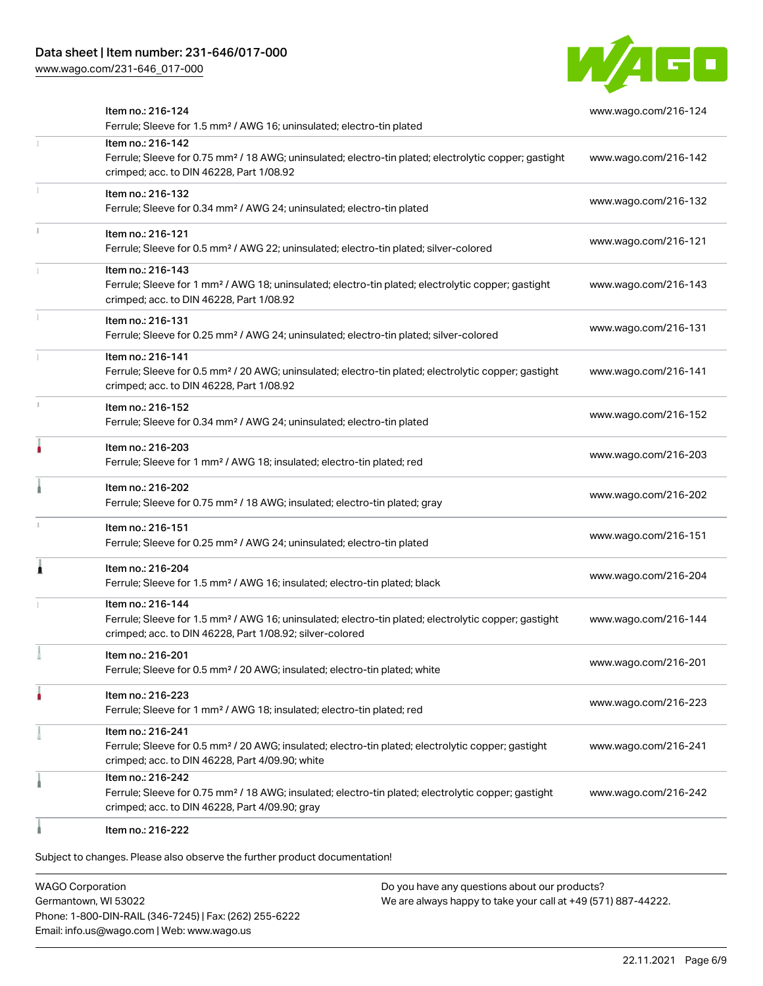# Data sheet | Item number: 231-646/017-000

[www.wago.com/231-646\\_017-000](http://www.wago.com/231-646_017-000)



| Item no.: 216-124<br>Ferrule; Sleeve for 1.5 mm <sup>2</sup> / AWG 16; uninsulated; electro-tin plated                                                                                            | www.wago.com/216-124 |
|---------------------------------------------------------------------------------------------------------------------------------------------------------------------------------------------------|----------------------|
| Item no.: 216-142<br>Ferrule; Sleeve for 0.75 mm <sup>2</sup> / 18 AWG; uninsulated; electro-tin plated; electrolytic copper; gastight<br>crimped; acc. to DIN 46228, Part 1/08.92                | www.wago.com/216-142 |
| Item no.: 216-132<br>Ferrule; Sleeve for 0.34 mm <sup>2</sup> / AWG 24; uninsulated; electro-tin plated                                                                                           | www.wago.com/216-132 |
| Item no.: 216-121<br>Ferrule; Sleeve for 0.5 mm <sup>2</sup> / AWG 22; uninsulated; electro-tin plated; silver-colored                                                                            | www.wago.com/216-121 |
| Item no.: 216-143<br>Ferrule; Sleeve for 1 mm <sup>2</sup> / AWG 18; uninsulated; electro-tin plated; electrolytic copper; gastight<br>crimped; acc. to DIN 46228, Part 1/08.92                   | www.wago.com/216-143 |
| Item no.: 216-131<br>Ferrule; Sleeve for 0.25 mm <sup>2</sup> / AWG 24; uninsulated; electro-tin plated; silver-colored                                                                           | www.wago.com/216-131 |
| Item no.: 216-141<br>Ferrule; Sleeve for 0.5 mm <sup>2</sup> / 20 AWG; uninsulated; electro-tin plated; electrolytic copper; gastight<br>crimped; acc. to DIN 46228, Part 1/08.92                 | www.wago.com/216-141 |
| Item no.: 216-152<br>Ferrule; Sleeve for 0.34 mm <sup>2</sup> / AWG 24; uninsulated; electro-tin plated                                                                                           | www.wago.com/216-152 |
| Item no.: 216-203<br>Ferrule; Sleeve for 1 mm <sup>2</sup> / AWG 18; insulated; electro-tin plated; red                                                                                           | www.wago.com/216-203 |
| Item no.: 216-202<br>Ferrule; Sleeve for 0.75 mm <sup>2</sup> / 18 AWG; insulated; electro-tin plated; gray                                                                                       | www.wago.com/216-202 |
| Item no.: 216-151<br>Ferrule; Sleeve for 0.25 mm <sup>2</sup> / AWG 24; uninsulated; electro-tin plated                                                                                           | www.wago.com/216-151 |
| Item no.: 216-204<br>Ferrule; Sleeve for 1.5 mm <sup>2</sup> / AWG 16; insulated; electro-tin plated; black                                                                                       | www.wago.com/216-204 |
| Item no.: 216-144<br>Ferrule; Sleeve for 1.5 mm <sup>2</sup> / AWG 16; uninsulated; electro-tin plated; electrolytic copper; gastight<br>crimped; acc. to DIN 46228, Part 1/08.92; silver-colored | www.wago.com/216-144 |
| Item no.: 216-201<br>Ferrule; Sleeve for 0.5 mm <sup>2</sup> / 20 AWG; insulated; electro-tin plated; white                                                                                       | www.wago.com/216-201 |
| Item no.: 216-223<br>Ferrule; Sleeve for 1 mm <sup>2</sup> / AWG 18; insulated; electro-tin plated; red                                                                                           | www.wago.com/216-223 |
| Item no.: 216-241<br>Ferrule; Sleeve for 0.5 mm <sup>2</sup> / 20 AWG; insulated; electro-tin plated; electrolytic copper; gastight<br>crimped; acc. to DIN 46228, Part 4/09.90; white            | www.wago.com/216-241 |
| Item no.: 216-242<br>Ferrule; Sleeve for 0.75 mm <sup>2</sup> / 18 AWG; insulated; electro-tin plated; electrolytic copper; gastight<br>crimped; acc. to DIN 46228, Part 4/09.90; gray            | www.wago.com/216-242 |
| Item no.: 216-222                                                                                                                                                                                 |                      |

Subject to changes. Please also observe the further product documentation!

WAGO Corporation Germantown, WI 53022 Phone: 1-800-DIN-RAIL (346-7245) | Fax: (262) 255-6222 Email: info.us@wago.com | Web: www.wago.us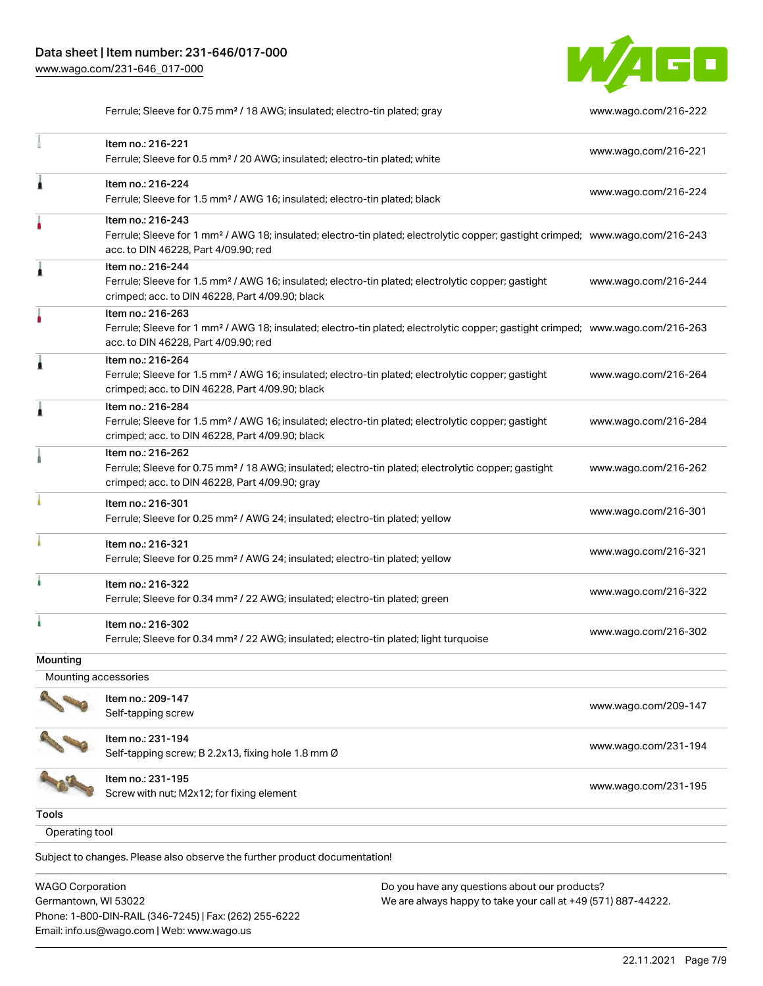Phone: 1-800-DIN-RAIL (346-7245) | Fax: (262) 255-6222

Email: info.us@wago.com | Web: www.wago.us



Ferrule; Sleeve for 0.75 mm<sup>2</sup> / 18 AWG; insulated; electro-tin plated; gray [www.wago.com/216-222](http://www.wago.com/216-222)

|                                                 | Item no.: 216-221<br>Ferrule; Sleeve for 0.5 mm <sup>2</sup> / 20 AWG; insulated; electro-tin plated; white                                                                                             |                                                                                                                | www.wago.com/216-221 |
|-------------------------------------------------|---------------------------------------------------------------------------------------------------------------------------------------------------------------------------------------------------------|----------------------------------------------------------------------------------------------------------------|----------------------|
| Â                                               | Item no.: 216-224<br>Ferrule; Sleeve for 1.5 mm <sup>2</sup> / AWG 16; insulated; electro-tin plated; black                                                                                             |                                                                                                                | www.wago.com/216-224 |
|                                                 | Item no.: 216-243<br>Ferrule; Sleeve for 1 mm <sup>2</sup> / AWG 18; insulated; electro-tin plated; electrolytic copper; gastight crimped; www.wago.com/216-243<br>acc. to DIN 46228, Part 4/09.90; red |                                                                                                                |                      |
| Â                                               | Item no.: 216-244<br>Ferrule; Sleeve for 1.5 mm <sup>2</sup> / AWG 16; insulated; electro-tin plated; electrolytic copper; gastight<br>crimped; acc. to DIN 46228, Part 4/09.90; black                  |                                                                                                                | www.wago.com/216-244 |
|                                                 | Item no.: 216-263<br>Ferrule; Sleeve for 1 mm <sup>2</sup> / AWG 18; insulated; electro-tin plated; electrolytic copper; gastight crimped; www.wago.com/216-263<br>acc. to DIN 46228, Part 4/09.90; red |                                                                                                                |                      |
| 1                                               | Item no.: 216-264<br>Ferrule; Sleeve for 1.5 mm <sup>2</sup> / AWG 16; insulated; electro-tin plated; electrolytic copper; gastight<br>crimped; acc. to DIN 46228, Part 4/09.90; black                  |                                                                                                                | www.wago.com/216-264 |
| Â                                               | Item no.: 216-284<br>Ferrule; Sleeve for 1.5 mm <sup>2</sup> / AWG 16; insulated; electro-tin plated; electrolytic copper; gastight<br>crimped; acc. to DIN 46228, Part 4/09.90; black                  |                                                                                                                | www.wago.com/216-284 |
|                                                 | Item no.: 216-262<br>Ferrule; Sleeve for 0.75 mm <sup>2</sup> / 18 AWG; insulated; electro-tin plated; electrolytic copper; gastight<br>crimped; acc. to DIN 46228, Part 4/09.90; gray                  |                                                                                                                | www.wago.com/216-262 |
|                                                 | Item no.: 216-301<br>Ferrule; Sleeve for 0.25 mm <sup>2</sup> / AWG 24; insulated; electro-tin plated; yellow                                                                                           |                                                                                                                | www.wago.com/216-301 |
|                                                 | Item no.: 216-321<br>Ferrule; Sleeve for 0.25 mm <sup>2</sup> / AWG 24; insulated; electro-tin plated; yellow                                                                                           |                                                                                                                | www.wago.com/216-321 |
|                                                 | Item no.: 216-322<br>Ferrule; Sleeve for 0.34 mm <sup>2</sup> / 22 AWG; insulated; electro-tin plated; green                                                                                            |                                                                                                                | www.wago.com/216-322 |
| ı                                               | Item no.: 216-302<br>Ferrule; Sleeve for 0.34 mm <sup>2</sup> / 22 AWG; insulated; electro-tin plated; light turquoise                                                                                  |                                                                                                                | www.wago.com/216-302 |
| Mounting                                        |                                                                                                                                                                                                         |                                                                                                                |                      |
| Mounting accessories                            |                                                                                                                                                                                                         |                                                                                                                |                      |
|                                                 | Item no.: 209-147<br>Self-tapping screw                                                                                                                                                                 |                                                                                                                | www.wago.com/209-147 |
|                                                 | Item no.: 231-194<br>Self-tapping screw; B 2.2x13, fixing hole 1.8 mm Ø                                                                                                                                 |                                                                                                                | www.wago.com/231-194 |
|                                                 | Item no.: 231-195<br>Screw with nut; M2x12; for fixing element                                                                                                                                          |                                                                                                                | www.wago.com/231-195 |
| <b>Tools</b>                                    |                                                                                                                                                                                                         |                                                                                                                |                      |
| Operating tool                                  |                                                                                                                                                                                                         |                                                                                                                |                      |
|                                                 | Subject to changes. Please also observe the further product documentation!                                                                                                                              |                                                                                                                |                      |
| <b>WAGO Corporation</b><br>Germantown, WI 53022 |                                                                                                                                                                                                         | Do you have any questions about our products?<br>We are always happy to take your call at +49 (571) 887-44222. |                      |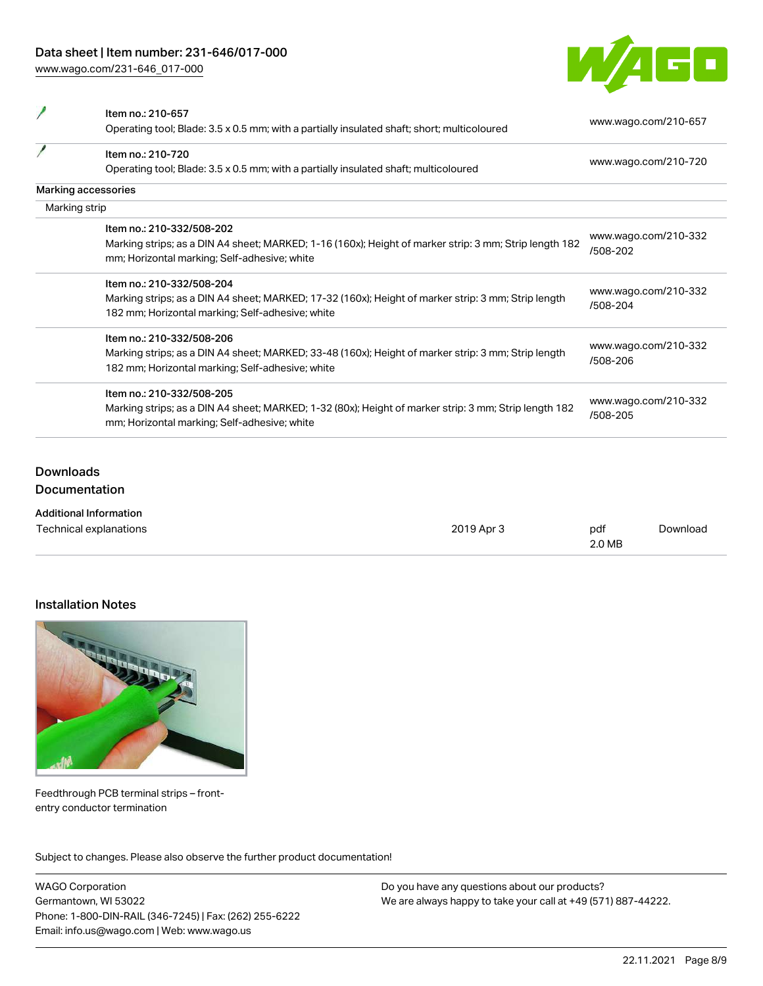[www.wago.com/231-646\\_017-000](http://www.wago.com/231-646_017-000)



| Item no.: 210-657                                                                                      |                                  |
|--------------------------------------------------------------------------------------------------------|----------------------------------|
| Operating tool; Blade: 3.5 x 0.5 mm; with a partially insulated shaft; short; multicoloured            | www.wago.com/210-657             |
| Item no.: 210-720                                                                                      |                                  |
| Operating tool; Blade: 3.5 x 0.5 mm; with a partially insulated shaft; multicoloured                   | www.wago.com/210-720             |
| Marking accessories                                                                                    |                                  |
| Marking strip                                                                                          |                                  |
| Item no.: 210-332/508-202                                                                              |                                  |
| Marking strips; as a DIN A4 sheet; MARKED; 1-16 (160x); Height of marker strip: 3 mm; Strip length 182 | www.wago.com/210-332<br>/508-202 |
| mm; Horizontal marking; Self-adhesive; white                                                           |                                  |
| Item no.: 210-332/508-204                                                                              | www.wago.com/210-332             |
| Marking strips; as a DIN A4 sheet; MARKED; 17-32 (160x); Height of marker strip: 3 mm; Strip length    | /508-204                         |
| 182 mm; Horizontal marking; Self-adhesive; white                                                       |                                  |
| Item no.: 210-332/508-206                                                                              |                                  |
| Marking strips; as a DIN A4 sheet; MARKED; 33-48 (160x); Height of marker strip: 3 mm; Strip length    | www.wago.com/210-332<br>/508-206 |
| 182 mm; Horizontal marking; Self-adhesive; white                                                       |                                  |
| Item no.: 210-332/508-205                                                                              |                                  |
| Marking strips; as a DIN A4 sheet; MARKED; 1-32 (80x); Height of marker strip: 3 mm; Strip length 182  | www.wago.com/210-332<br>/508-205 |
| mm; Horizontal marking; Self-adhesive; white                                                           |                                  |
|                                                                                                        |                                  |

# Downloads **Documentation**

| <b>Additional Information</b> |            |        |          |
|-------------------------------|------------|--------|----------|
| Technical explanations        | 2019 Apr 3 | pdf    | Download |
|                               |            | 2.0 MB |          |

## Installation Notes



Feedthrough PCB terminal strips – frontentry conductor termination

Subject to changes. Please also observe the further product documentation!

WAGO Corporation Germantown, WI 53022 Phone: 1-800-DIN-RAIL (346-7245) | Fax: (262) 255-6222 Email: info.us@wago.com | Web: www.wago.us